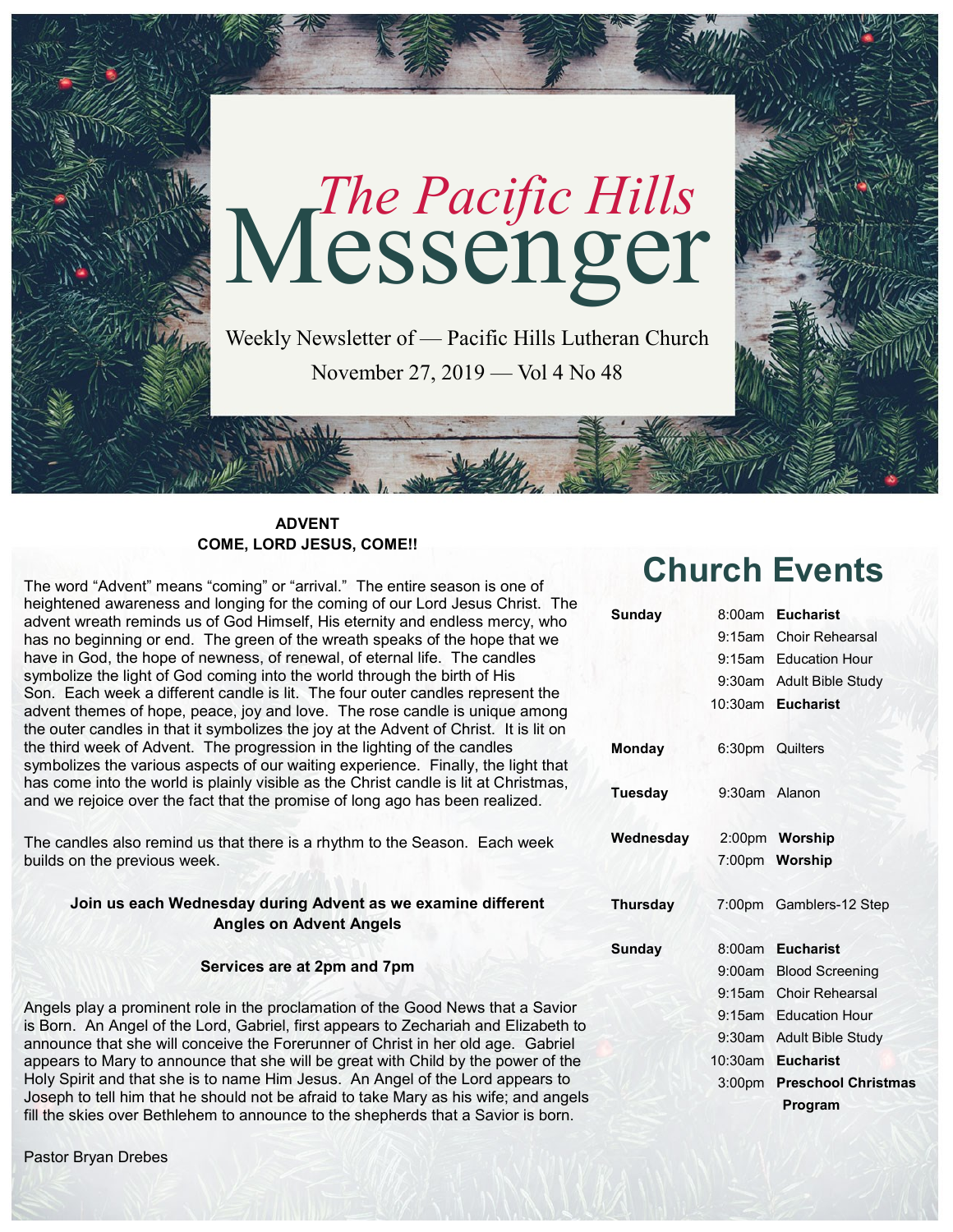

**ADVENT COME, LORD JESUS, COME!!** 

The word "Advent" means "coming" or "arrival." The entire season is one of heightened awareness and longing for the coming of our Lord Jesus Christ. The advent wreath reminds us of God Himself, His eternity and endless mercy, who has no beginning or end. The green of the wreath speaks of the hope that we have in God, the hope of newness, of renewal, of eternal life. The candles symbolize the light of God coming into the world through the birth of His Son. Each week a different candle is lit. The four outer candles represent the advent themes of hope, peace, joy and love. The rose candle is unique among the outer candles in that it symbolizes the joy at the Advent of Christ. It is lit on the third week of Advent. The progression in the lighting of the candles symbolizes the various aspects of our waiting experience. Finally, the light that has come into the world is plainly visible as the Christ candle is lit at Christmas, and we rejoice over the fact that the promise of long ago has been realized.

The candles also remind us that there is a rhythm to the Season. Each week builds on the previous week.

#### **Join us each Wednesday during Advent as we examine different Angles on Advent Angels**

#### **Services are at 2pm and 7pm**

Angels play a prominent role in the proclamation of the Good News that a Savior is Born. An Angel of the Lord, Gabriel, first appears to Zechariah and Elizabeth to announce that she will conceive the Forerunner of Christ in her old age. Gabriel appears to Mary to announce that she will be great with Child by the power of the Holy Spirit and that she is to name Him Jesus. An Angel of the Lord appears to Joseph to tell him that he should not be afraid to take Mary as his wife; and angels fill the skies over Bethlehem to announce to the shepherds that a Savior is born.

#### Pastor Bryan Drebes

# **Church Events**

| <b>Sunday</b>   | 8:00am             | <b>Eucharist</b>           |
|-----------------|--------------------|----------------------------|
|                 |                    | 9:15am Choir Rehearsal     |
|                 |                    | 9:15am Education Hour      |
|                 |                    | 9:30am Adult Bible Study   |
|                 | 10:30am            | <b>Eucharist</b>           |
| <b>Monday</b>   | 6:30pm Quilters    |                            |
| <b>Tuesday</b>  | 9:30am Alanon      |                            |
| Wednesday       |                    | 2:00pm Worship             |
|                 |                    | 7:00pm Worship             |
| <b>Thursday</b> |                    | 7:00pm Gamblers-12 Step    |
| <b>Sunday</b>   | 8:00am             | <b>Eucharist</b>           |
|                 |                    | 9:00am Blood Screening     |
|                 | $9:15$ am          | <b>Choir Rehearsal</b>     |
|                 |                    | 9:15am Education Hour      |
|                 | $9:30$ am          | Adult Bible Study          |
|                 | $10:30$ am         | <b>Eucharist</b>           |
|                 | 3:00 <sub>pm</sub> | <b>Preschool Christmas</b> |
|                 |                    | <b>Program</b>             |